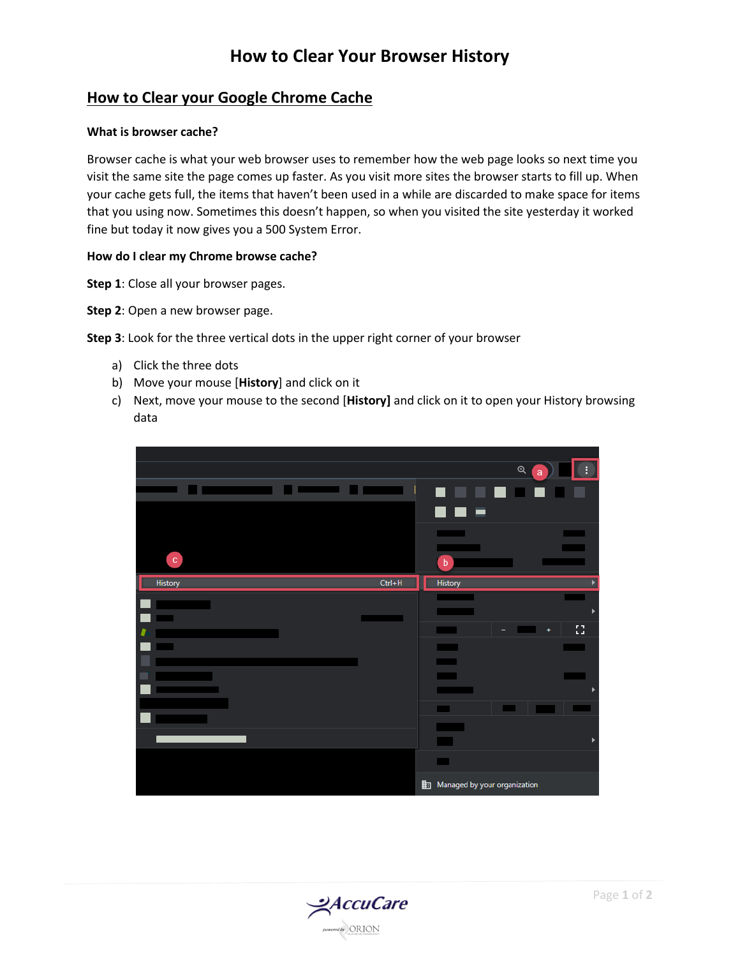## **How to Clear Your Browser History**

### **How to Clear your Google Chrome Cache**

#### **What is browser cache?**

Browser cache is what your web browser uses to remember how the web page looks so next time you visit the same site the page comes up faster. As you visit more sites the browser starts to fill up. When your cache gets full, the items that haven't been used in a while are discarded to make space for items that you using now. Sometimes this doesn't happen, so when you visited the site yesterday it worked fine but today it now gives you a 500 System Error.

### **How do I clear my Chrome browse cache?**

**Step 1**: Close all your browser pages.

**Step 2**: Open a new browser page.

**Step 3**: Look for the three vertical dots in the upper right corner of your browser

- a) Click the three dots
- b) Move your mouse [**History**] and click on it
- c) Next, move your mouse to the second [**History]** and click on it to open your History browsing data

|                |            |                              |   | $\mathbin{\mathbb{Q}}$<br>a | ŧ. |
|----------------|------------|------------------------------|---|-----------------------------|----|
|                |            |                              |   |                             |    |
|                |            |                              | ╸ |                             |    |
|                |            |                              |   |                             |    |
|                |            |                              |   |                             |    |
| $\mathbf{c}$   |            |                              |   |                             |    |
|                |            | $\mathbf b$                  |   |                             |    |
| <b>History</b> | $Ctrl + H$ | <b>History</b>               |   |                             |    |
|                |            |                              |   |                             |    |
|                |            |                              |   |                             | ь  |
|                |            |                              |   |                             | 83 |
|                |            |                              |   |                             |    |
|                |            |                              |   |                             |    |
|                |            |                              |   |                             |    |
|                |            |                              |   |                             |    |
|                |            |                              |   |                             |    |
|                |            |                              |   |                             |    |
|                |            |                              |   |                             | ▶  |
|                |            | ▅                            |   |                             |    |
|                |            |                              |   |                             |    |
|                |            | Managed by your organization |   |                             |    |